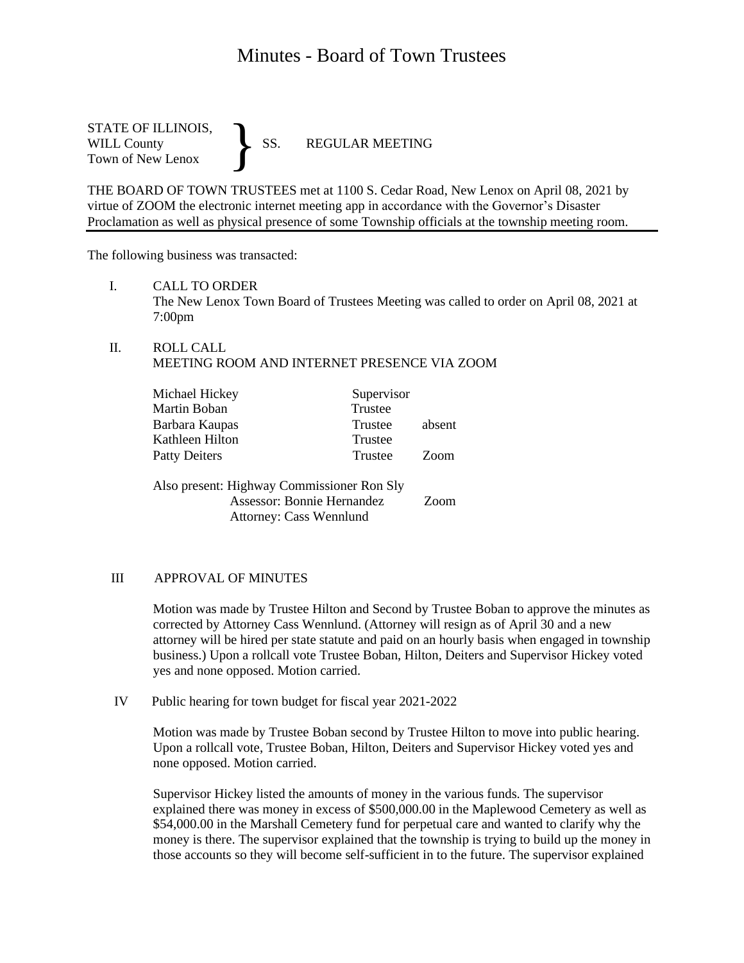# Minutes - Board of Town Trustees

STATE OF ILLINOIS,<br>WILL County SS. WILL County SS. REGULAR MEETING Town of New Lenox }

THE BOARD OF TOWN TRUSTEES met at 1100 S. Cedar Road, New Lenox on April 08, 2021 by virtue of ZOOM the electronic internet meeting app in accordance with the Governor's Disaster Proclamation as well as physical presence of some Township officials at the township meeting room.

The following business was transacted:

I. CALL TO ORDER

The New Lenox Town Board of Trustees Meeting was called to order on April 08, 2021 at 7:00pm

II. ROLL CALL MEETING ROOM AND INTERNET PRESENCE VIA ZOOM

| Michael Hickey                                                                   | Supervisor |                  |
|----------------------------------------------------------------------------------|------------|------------------|
| Martin Boban                                                                     | Trustee    |                  |
| Barbara Kaupas                                                                   | Trustee    | absent           |
| Kathleen Hilton                                                                  | Trustee    |                  |
| <b>Patty Deiters</b>                                                             | Trustee    | Z <sub>oom</sub> |
| Also present: Highway Commissioner Ron Sly<br>Assessor: Bonnie Hernandez<br>Zoom |            |                  |
| <b>Attorney: Cass Wennlund</b>                                                   |            |                  |

#### III APPROVAL OF MINUTES

Motion was made by Trustee Hilton and Second by Trustee Boban to approve the minutes as corrected by Attorney Cass Wennlund. (Attorney will resign as of April 30 and a new attorney will be hired per state statute and paid on an hourly basis when engaged in township business.) Upon a rollcall vote Trustee Boban, Hilton, Deiters and Supervisor Hickey voted yes and none opposed. Motion carried.

IV Public hearing for town budget for fiscal year 2021-2022

Motion was made by Trustee Boban second by Trustee Hilton to move into public hearing. Upon a rollcall vote, Trustee Boban, Hilton, Deiters and Supervisor Hickey voted yes and none opposed. Motion carried.

Supervisor Hickey listed the amounts of money in the various funds. The supervisor explained there was money in excess of \$500,000.00 in the Maplewood Cemetery as well as \$54,000.00 in the Marshall Cemetery fund for perpetual care and wanted to clarify why the money is there. The supervisor explained that the township is trying to build up the money in those accounts so they will become self-sufficient in to the future. The supervisor explained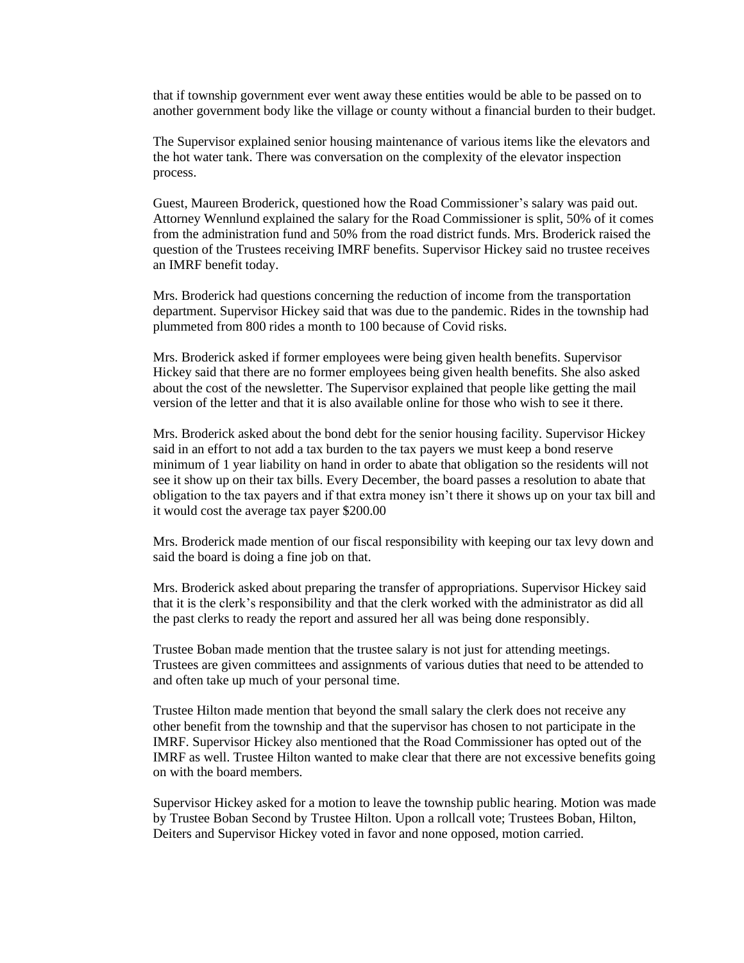that if township government ever went away these entities would be able to be passed on to another government body like the village or county without a financial burden to their budget.

The Supervisor explained senior housing maintenance of various items like the elevators and the hot water tank. There was conversation on the complexity of the elevator inspection process.

Guest, Maureen Broderick, questioned how the Road Commissioner's salary was paid out. Attorney Wennlund explained the salary for the Road Commissioner is split, 50% of it comes from the administration fund and 50% from the road district funds. Mrs. Broderick raised the question of the Trustees receiving IMRF benefits. Supervisor Hickey said no trustee receives an IMRF benefit today.

Mrs. Broderick had questions concerning the reduction of income from the transportation department. Supervisor Hickey said that was due to the pandemic. Rides in the township had plummeted from 800 rides a month to 100 because of Covid risks.

Mrs. Broderick asked if former employees were being given health benefits. Supervisor Hickey said that there are no former employees being given health benefits. She also asked about the cost of the newsletter. The Supervisor explained that people like getting the mail version of the letter and that it is also available online for those who wish to see it there.

Mrs. Broderick asked about the bond debt for the senior housing facility. Supervisor Hickey said in an effort to not add a tax burden to the tax payers we must keep a bond reserve minimum of 1 year liability on hand in order to abate that obligation so the residents will not see it show up on their tax bills. Every December, the board passes a resolution to abate that obligation to the tax payers and if that extra money isn't there it shows up on your tax bill and it would cost the average tax payer \$200.00

Mrs. Broderick made mention of our fiscal responsibility with keeping our tax levy down and said the board is doing a fine job on that.

Mrs. Broderick asked about preparing the transfer of appropriations. Supervisor Hickey said that it is the clerk's responsibility and that the clerk worked with the administrator as did all the past clerks to ready the report and assured her all was being done responsibly.

Trustee Boban made mention that the trustee salary is not just for attending meetings. Trustees are given committees and assignments of various duties that need to be attended to and often take up much of your personal time.

Trustee Hilton made mention that beyond the small salary the clerk does not receive any other benefit from the township and that the supervisor has chosen to not participate in the IMRF. Supervisor Hickey also mentioned that the Road Commissioner has opted out of the IMRF as well. Trustee Hilton wanted to make clear that there are not excessive benefits going on with the board members.

Supervisor Hickey asked for a motion to leave the township public hearing. Motion was made by Trustee Boban Second by Trustee Hilton. Upon a rollcall vote; Trustees Boban, Hilton, Deiters and Supervisor Hickey voted in favor and none opposed, motion carried.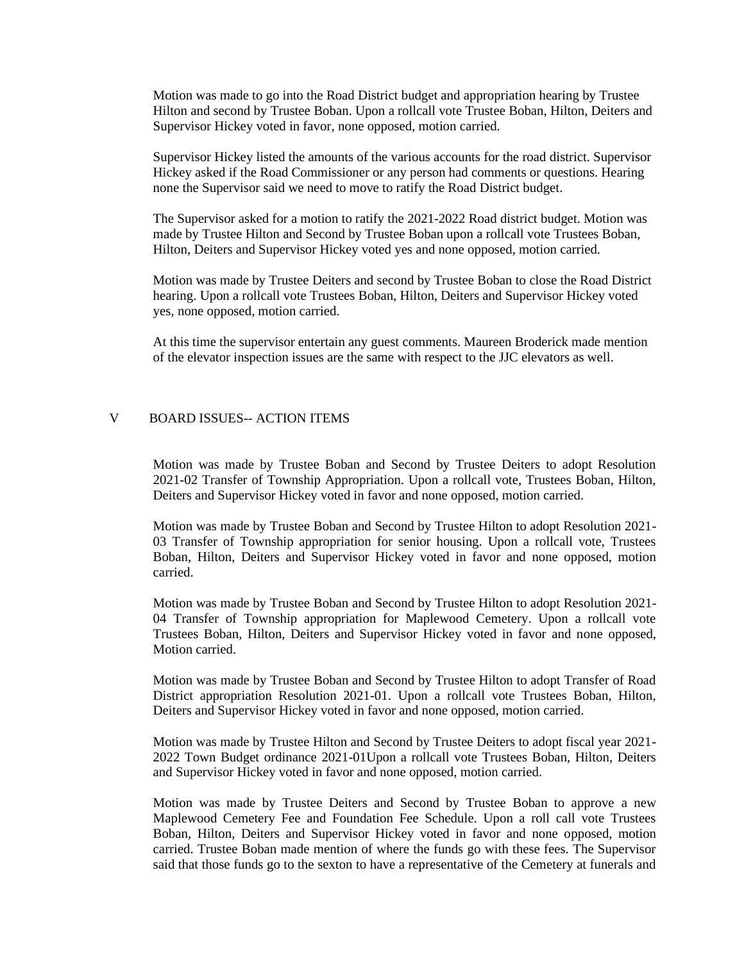Motion was made to go into the Road District budget and appropriation hearing by Trustee Hilton and second by Trustee Boban. Upon a rollcall vote Trustee Boban, Hilton, Deiters and Supervisor Hickey voted in favor, none opposed, motion carried.

Supervisor Hickey listed the amounts of the various accounts for the road district. Supervisor Hickey asked if the Road Commissioner or any person had comments or questions. Hearing none the Supervisor said we need to move to ratify the Road District budget.

The Supervisor asked for a motion to ratify the 2021-2022 Road district budget. Motion was made by Trustee Hilton and Second by Trustee Boban upon a rollcall vote Trustees Boban, Hilton, Deiters and Supervisor Hickey voted yes and none opposed, motion carried.

Motion was made by Trustee Deiters and second by Trustee Boban to close the Road District hearing. Upon a rollcall vote Trustees Boban, Hilton, Deiters and Supervisor Hickey voted yes, none opposed, motion carried.

At this time the supervisor entertain any guest comments. Maureen Broderick made mention of the elevator inspection issues are the same with respect to the JJC elevators as well.

### V BOARD ISSUES-- ACTION ITEMS

Motion was made by Trustee Boban and Second by Trustee Deiters to adopt Resolution 2021-02 Transfer of Township Appropriation. Upon a rollcall vote, Trustees Boban, Hilton, Deiters and Supervisor Hickey voted in favor and none opposed, motion carried.

Motion was made by Trustee Boban and Second by Trustee Hilton to adopt Resolution 2021- 03 Transfer of Township appropriation for senior housing. Upon a rollcall vote, Trustees Boban, Hilton, Deiters and Supervisor Hickey voted in favor and none opposed, motion carried.

Motion was made by Trustee Boban and Second by Trustee Hilton to adopt Resolution 2021- 04 Transfer of Township appropriation for Maplewood Cemetery. Upon a rollcall vote Trustees Boban, Hilton, Deiters and Supervisor Hickey voted in favor and none opposed, Motion carried.

Motion was made by Trustee Boban and Second by Trustee Hilton to adopt Transfer of Road District appropriation Resolution 2021-01. Upon a rollcall vote Trustees Boban, Hilton, Deiters and Supervisor Hickey voted in favor and none opposed, motion carried.

Motion was made by Trustee Hilton and Second by Trustee Deiters to adopt fiscal year 2021- 2022 Town Budget ordinance 2021-01Upon a rollcall vote Trustees Boban, Hilton, Deiters and Supervisor Hickey voted in favor and none opposed, motion carried.

Motion was made by Trustee Deiters and Second by Trustee Boban to approve a new Maplewood Cemetery Fee and Foundation Fee Schedule. Upon a roll call vote Trustees Boban, Hilton, Deiters and Supervisor Hickey voted in favor and none opposed, motion carried. Trustee Boban made mention of where the funds go with these fees. The Supervisor said that those funds go to the sexton to have a representative of the Cemetery at funerals and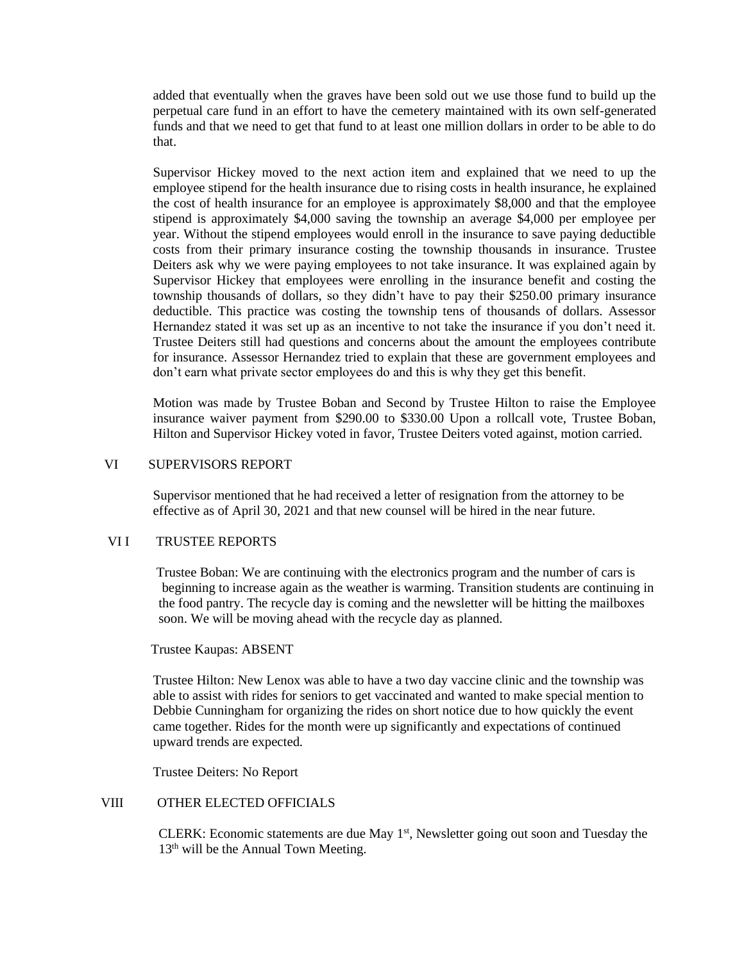added that eventually when the graves have been sold out we use those fund to build up the perpetual care fund in an effort to have the cemetery maintained with its own self-generated funds and that we need to get that fund to at least one million dollars in order to be able to do that.

Supervisor Hickey moved to the next action item and explained that we need to up the employee stipend for the health insurance due to rising costs in health insurance, he explained the cost of health insurance for an employee is approximately \$8,000 and that the employee stipend is approximately \$4,000 saving the township an average \$4,000 per employee per year. Without the stipend employees would enroll in the insurance to save paying deductible costs from their primary insurance costing the township thousands in insurance. Trustee Deiters ask why we were paying employees to not take insurance. It was explained again by Supervisor Hickey that employees were enrolling in the insurance benefit and costing the township thousands of dollars, so they didn't have to pay their \$250.00 primary insurance deductible. This practice was costing the township tens of thousands of dollars. Assessor Hernandez stated it was set up as an incentive to not take the insurance if you don't need it. Trustee Deiters still had questions and concerns about the amount the employees contribute for insurance. Assessor Hernandez tried to explain that these are government employees and don't earn what private sector employees do and this is why they get this benefit.

Motion was made by Trustee Boban and Second by Trustee Hilton to raise the Employee insurance waiver payment from \$290.00 to \$330.00 Upon a rollcall vote, Trustee Boban, Hilton and Supervisor Hickey voted in favor, Trustee Deiters voted against, motion carried.

#### VI SUPERVISORS REPORT

Supervisor mentioned that he had received a letter of resignation from the attorney to be effective as of April 30, 2021 and that new counsel will be hired in the near future.

#### VII TRUSTEE REPORTS

Trustee Boban: We are continuing with the electronics program and the number of cars is beginning to increase again as the weather is warming. Transition students are continuing in the food pantry. The recycle day is coming and the newsletter will be hitting the mailboxes soon. We will be moving ahead with the recycle day as planned.

#### Trustee Kaupas: ABSENT

Trustee Hilton: New Lenox was able to have a two day vaccine clinic and the township was able to assist with rides for seniors to get vaccinated and wanted to make special mention to Debbie Cunningham for organizing the rides on short notice due to how quickly the event came together. Rides for the month were up significantly and expectations of continued upward trends are expected.

Trustee Deiters: No Report

## VIII OTHER ELECTED OFFICIALS

CLERK: Economic statements are due May  $1<sup>st</sup>$ , Newsletter going out soon and Tuesday the 13<sup>th</sup> will be the Annual Town Meeting.